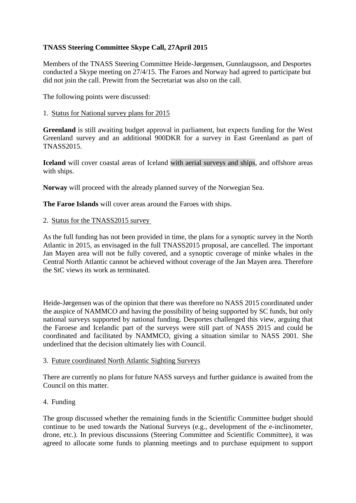## **TNASS Steering Committee Skype Call, 27April 2015**

Members of the TNASS Steering Committee Heide-Jørgensen, Gunnlaugsson, and Desportes conducted a Skype meeting on 27/4/15. The Faroes and Norway had agreed to participate but did not join the call. Prewitt from the Secretariat was also on the call.

The following points were discussed:

## 1. Status for National survey plans for 2015

**Greenland** is still awaiting budget approval in parliament, but expects funding for the West Greenland survey and an additional 900DKR for a survey in East Greenland as part of TNASS2015.

**Iceland** will cover coastal areas of Iceland with aerial surveys and ships, and offshore areas with ships.

**Norway** will proceed with the already planned survey of the Norwegian Sea.

**The Faroe Islands** will cover areas around the Faroes with ships.

2. Status for the TNASS2015 survey

As the full funding has not been provided in time, the plans for a synoptic survey in the North Atlantic in 2015, as envisaged in the full TNASS2015 proposal, are cancelled. The important Jan Mayen area will not be fully covered, and a synoptic coverage of minke whales in the Central North Atlantic cannot be achieved without coverage of the Jan Mayen area. Therefore the StC views its work as terminated.

Heide-Jørgensen was of the opinion that there was therefore no NASS 2015 coordinated under the auspice of NAMMCO and having the possibility of being supported by SC funds, but only national surveys supported by national funding. Desportes challenged this view, arguing that the Faroese and Icelandic part of the surveys were still part of NASS 2015 and could be coordinated and facilitated by NAMMCO, giving a situation similar to NASS 2001. She underlined that the decision ultimately lies with Council.

## 3. Future coordinated North Atlantic Sighting Surveys

There are currently no plans for future NASS surveys and further guidance is awaited from the Council on this matter.

## 4. Funding

The group discussed whether the remaining funds in the Scientific Committee budget should continue to be used towards the National Surveys (e.g., development of the e-inclinometer, drone, etc.). In previous discussions (Steering Committee and Scientific Committee), it was agreed to allocate some funds to planning meetings and to purchase equipment to support